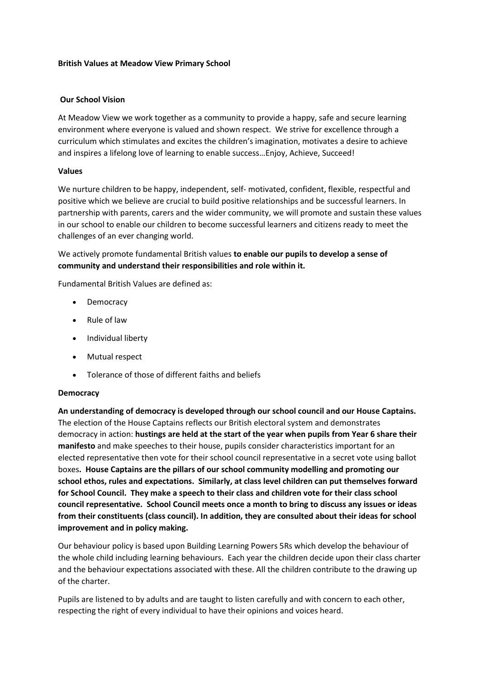#### **British Values at Meadow View Primary School**

#### **Our School Vision**

At Meadow View we work together as a community to provide a happy, safe and secure learning environment where everyone is valued and shown respect. We strive for excellence through a curriculum which stimulates and excites the children's imagination, motivates a desire to achieve and inspires a lifelong love of learning to enable success…Enjoy, Achieve, Succeed!

#### **Values**

We nurture children to be happy, independent, self- motivated, confident, flexible, respectful and positive which we believe are crucial to build positive relationships and be successful learners. In partnership with parents, carers and the wider community, we will promote and sustain these values in our school to enable our children to become successful learners and citizens ready to meet the challenges of an ever changing world.

We actively promote fundamental British values **to enable our pupils to develop a sense of community and understand their responsibilities and role within it.**

Fundamental British Values are defined as:

- Democracy
- Rule of law
- Individual liberty
- Mutual respect
- Tolerance of those of different faiths and beliefs

#### **Democracy**

**An understanding of democracy is developed through our school council and our House Captains.**  The election of the House Captains reflects our British electoral system and demonstrates democracy in action: **hustings are held at the start of the year when pupils from Year 6 share their manifesto** and make speeches to their house, pupils consider characteristics important for an elected representative then vote for their school council representative in a secret vote using ballot boxes**. House Captains are the pillars of our school community modelling and promoting our school ethos, rules and expectations. Similarly, at class level children can put themselves forward for School Council. They make a speech to their class and children vote for their class school council representative. School Council meets once a month to bring to discuss any issues or ideas from their constituents (class council). In addition, they are consulted about their ideas for school improvement and in policy making.**

Our behaviour policy is based upon Building Learning Powers 5Rs which develop the behaviour of the whole child including learning behaviours. Each year the children decide upon their class charter and the behaviour expectations associated with these. All the children contribute to the drawing up of the charter.

Pupils are listened to by adults and are taught to listen carefully and with concern to each other, respecting the right of every individual to have their opinions and voices heard.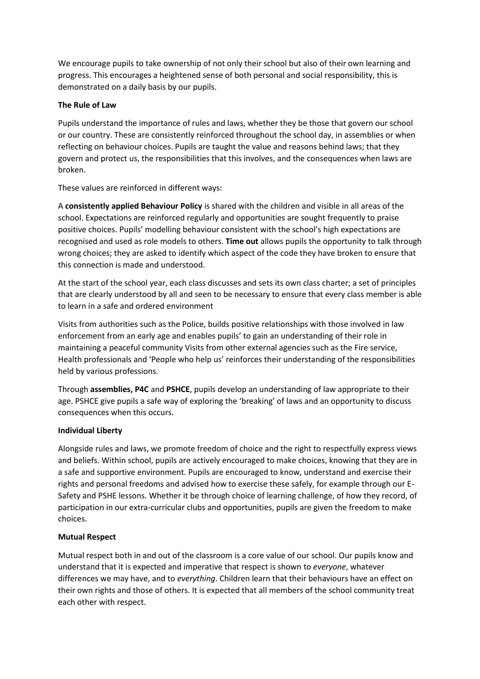We encourage pupils to take ownership of not only their school but also of their own learning and progress. This encourages a heightened sense of both personal and social responsibility, this is demonstrated on a daily basis by our pupils.

## **The Rule of Law**

Pupils understand the importance of rules and laws, whether they be those that govern our school or our country. These are consistently reinforced throughout the school day, in assemblies or when reflecting on behaviour choices. Pupils are taught the value and reasons behind laws; that they govern and protect us, the responsibilities that this involves, and the consequences when laws are broken.

These values are reinforced in different ways:

A **consistently applied Behaviour Policy** is shared with the children and visible in all areas of the school. Expectations are reinforced regularly and opportunities are sought frequently to praise positive choices. Pupils' modelling behaviour consistent with the school's high expectations are recognised and used as role models to others. **Time out** allows pupils the opportunity to talk through wrong choices; they are asked to identify which aspect of the code they have broken to ensure that this connection is made and understood.

At the start of the school year, each class discusses and sets its own class charter; a set of principles that are clearly understood by all and seen to be necessary to ensure that every class member is able to learn in a safe and ordered environment

Visits from authorities such as the Police, builds positive relationships with those involved in law enforcement from an early age and enables pupils' to gain an understanding of their role in maintaining a peaceful community Visits from other external agencies such as the Fire service, Health professionals and 'People who help us' reinforces their understanding of the responsibilities held by various professions.

Through **assemblies, P4C** and **PSHCE**, pupils develop an understanding of law appropriate to their age. PSHCE give pupils a safe way of exploring the 'breaking' of laws and an opportunity to discuss consequences when this occurs.

# **Individual Liberty**

Alongside rules and laws, we promote freedom of choice and the right to respectfully express views and beliefs. Within school, pupils are actively encouraged to make choices, knowing that they are in a safe and supportive environment. Pupils are encouraged to know, understand and exercise their rights and personal freedoms and advised how to exercise these safely, for example through our E-Safety and PSHE lessons. Whether it be through choice of learning challenge, of how they record, of participation in our extra-curricular clubs and opportunities, pupils are given the freedom to make choices.

# **Mutual Respect**

Mutual respect both in and out of the classroom is a core value of our school. Our pupils know and understand that it is expected and imperative that respect is shown to *everyone*, whatever differences we may have, and to *everything*. Children learn that their behaviours have an effect on their own rights and those of others. It is expected that all members of the school community treat each other with respect.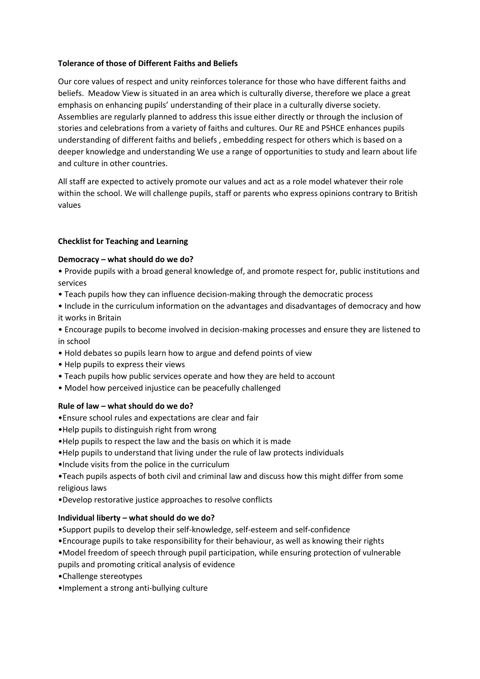## **Tolerance of those of Different Faiths and Beliefs**

Our core values of respect and unity reinforces tolerance for those who have different faiths and beliefs. Meadow View is situated in an area which is culturally diverse, therefore we place a great emphasis on enhancing pupils' understanding of their place in a culturally diverse society. Assemblies are regularly planned to address this issue either directly or through the inclusion of stories and celebrations from a variety of faiths and cultures. Our RE and PSHCE enhances pupils understanding of different faiths and beliefs , embedding respect for others which is based on a deeper knowledge and understanding We use a range of opportunities to study and learn about life and culture in other countries.

All staff are expected to actively promote our values and act as a role model whatever their role within the school. We will challenge pupils, staff or parents who express opinions contrary to British values

# **Checklist for Teaching and Learning**

### **Democracy – what should do we do?**

• Provide pupils with a broad general knowledge of, and promote respect for, public institutions and services

- Teach pupils how they can influence decision-making through the democratic process
- Include in the curriculum information on the advantages and disadvantages of democracy and how it works in Britain
- Encourage pupils to become involved in decision-making processes and ensure they are listened to in school
- Hold debates so pupils learn how to argue and defend points of view
- Help pupils to express their views
- Teach pupils how public services operate and how they are held to account
- Model how perceived injustice can be peacefully challenged

#### **Rule of law – what should do we do?**

•Ensure school rules and expectations are clear and fair

- •Help pupils to distinguish right from wrong
- •Help pupils to respect the law and the basis on which it is made
- •Help pupils to understand that living under the rule of law protects individuals
- •Include visits from the police in the curriculum
- •Teach pupils aspects of both civil and criminal law and discuss how this might differ from some religious laws
- •Develop restorative justice approaches to resolve conflicts

#### **Individual liberty – what should do we do?**

- •Support pupils to develop their self-knowledge, self-esteem and self-confidence
- •Encourage pupils to take responsibility for their behaviour, as well as knowing their rights
- •Model freedom of speech through pupil participation, while ensuring protection of vulnerable pupils and promoting critical analysis of evidence
- •Challenge stereotypes
- •Implement a strong anti-bullying culture